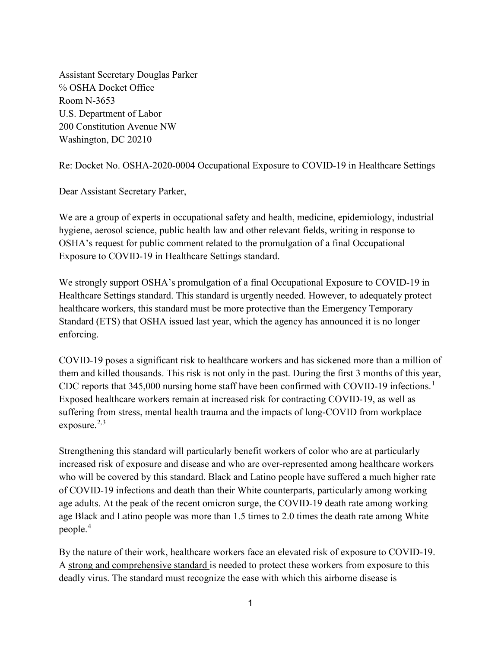Assistant Secretary Douglas Parker ℅ OSHA Docket Office Room N-3653 U.S. Department of Labor 200 Constitution Avenue NW Washington, DC 20210

Re: Docket No. OSHA-2020-0004 Occupational Exposure to COVID-19 in Healthcare Settings

Dear Assistant Secretary Parker,

We are a group of experts in occupational safety and health, medicine, epidemiology, industrial hygiene, aerosol science, public health law and other relevant fields, writing in response to OSHA's request for public comment related to the promulgation of a final Occupational Exposure to COVID-19 in Healthcare Settings standard.

We strongly support OSHA's promulgation of a final Occupational Exposure to COVID-19 in Healthcare Settings standard. This standard is urgently needed. However, to adequately protect healthcare workers, this standard must be more protective than the Emergency Temporary Standard (ETS) that OSHA issued last year, which the agency has announced it is no longer enforcing.

COVID-19 poses a significant risk to healthcare workers and has sickened more than a million of them and killed thousands. This risk is not only in the past. During the first 3 months of this year, CDC reports that  $345,000$  nursing home staff have been confirmed with COVID-[1](#page-3-0)9 infections.<sup>1</sup> Exposed healthcare workers remain at increased risk for contracting COVID-19, as well as suffering from stress, mental health trauma and the impacts of long-COVID from workplace exposure. $2,3$  $2,3$ 

Strengthening this standard will particularly benefit workers of color who are at particularly increased risk of exposure and disease and who are over-represented among healthcare workers who will be covered by this standard. Black and Latino people have suffered a much higher rate of COVID-19 infections and death than their White counterparts, particularly among working age adults. At the peak of the recent omicron surge, the COVID-19 death rate among working age Black and Latino people was more than 1.5 times to 2.0 times the death rate among White people. [4](#page-3-3)

By the nature of their work, healthcare workers face an elevated risk of exposure to COVID-19. A strong and comprehensive standard is needed to protect these workers from exposure to this deadly virus. The standard must recognize the ease with which this airborne disease is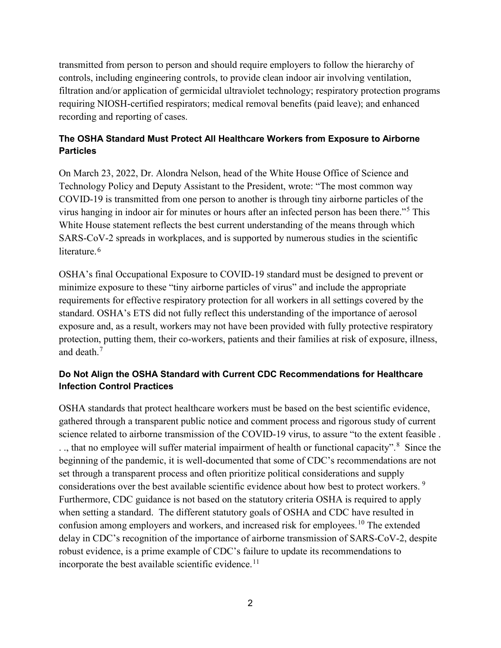transmitted from person to person and should require employers to follow the hierarchy of controls, including engineering controls, to provide clean indoor air involving ventilation, filtration and/or application of germicidal ultraviolet technology; respiratory protection programs requiring NIOSH-certified respirators; medical removal benefits (paid leave); and enhanced recording and reporting of cases.

### **The OSHA Standard Must Protect All Healthcare Workers from Exposure to Airborne Particles**

On March 23, 2022, Dr. Alondra Nelson, head of the White House Office of Science and Technology Policy and Deputy Assistant to the President, wrote: "The most common way COVID-19 is transmitted from one person to another is through tiny airborne particles of the virus hanging in indoor air for minutes or hours after an infected person has been there."[5](#page-3-4) This White House statement reflects the best current understanding of the means through which SARS-CoV-2 spreads in workplaces, and is supported by numerous studies in the scientific literature.<sup>[6](#page-3-5)</sup>

OSHA's final Occupational Exposure to COVID-19 standard must be designed to prevent or minimize exposure to these "tiny airborne particles of virus" and include the appropriate requirements for effective respiratory protection for all workers in all settings covered by the standard. OSHA's ETS did not fully reflect this understanding of the importance of aerosol exposure and, as a result, workers may not have been provided with fully protective respiratory protection, putting them, their co-workers, patients and their families at risk of exposure, illness, and death.[7](#page-4-0)

### **Do Not Align the OSHA Standard with Current CDC Recommendations for Healthcare Infection Control Practices**

OSHA standards that protect healthcare workers must be based on the best scientific evidence, gathered through a transparent public notice and comment process and rigorous study of current science related to airborne transmission of the COVID-19 virus, to assure "to the extent feasible . .., that no employee will suffer material impairment of health or functional capacity".<sup>[8](#page-4-1)</sup> Since the beginning of the pandemic, it is well-documented that some of CDC's recommendations are not set through a transparent process and often prioritize political considerations and supply considerations over the best available scientific evidence about how best to protect workers.<sup>[9](#page-4-2)</sup> Furthermore, CDC guidance is not based on the statutory criteria OSHA is required to apply when setting a standard. The different statutory goals of OSHA and CDC have resulted in confusion among employers and workers, and increased risk for employees.<sup>[10](#page-4-3)</sup> The extended delay in CDC's recognition of the importance of airborne transmission of SARS-CoV-2, despite robust evidence, is a prime example of CDC's failure to update its recommendations to incorporate the best available scientific evidence.<sup>[11](#page-4-4)</sup>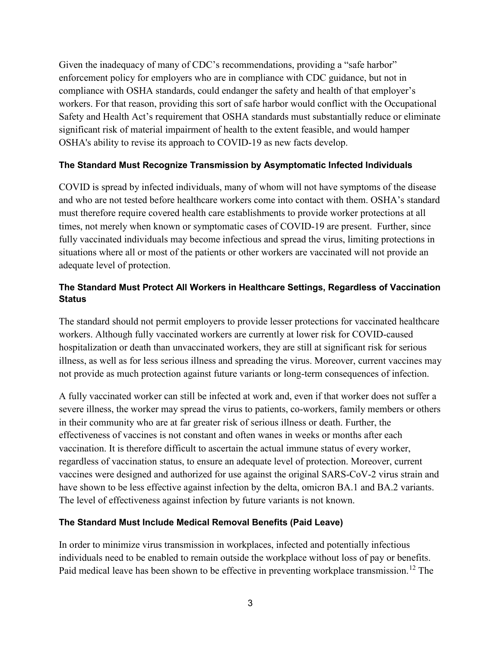Given the inadequacy of many of CDC's recommendations, providing a "safe harbor" enforcement policy for employers who are in compliance with CDC guidance, but not in compliance with OSHA standards, could endanger the safety and health of that employer's workers. For that reason, providing this sort of safe harbor would conflict with the Occupational Safety and Health Act's requirement that OSHA standards must substantially reduce or eliminate significant risk of material impairment of health to the extent feasible, and would hamper OSHA's ability to revise its approach to COVID-19 as new facts develop.

#### **The Standard Must Recognize Transmission by Asymptomatic Infected Individuals**

COVID is spread by infected individuals, many of whom will not have symptoms of the disease and who are not tested before healthcare workers come into contact with them. OSHA's standard must therefore require covered health care establishments to provide worker protections at all times, not merely when known or symptomatic cases of COVID-19 are present. Further, since fully vaccinated individuals may become infectious and spread the virus, limiting protections in situations where all or most of the patients or other workers are vaccinated will not provide an adequate level of protection.

## **The Standard Must Protect All Workers in Healthcare Settings, Regardless of Vaccination Status**

The standard should not permit employers to provide lesser protections for vaccinated healthcare workers. Although fully vaccinated workers are currently at lower risk for COVID-caused hospitalization or death than unvaccinated workers, they are still at significant risk for serious illness, as well as for less serious illness and spreading the virus. Moreover, current vaccines may not provide as much protection against future variants or long-term consequences of infection.

A fully vaccinated worker can still be infected at work and, even if that worker does not suffer a severe illness, the worker may spread the virus to patients, co-workers, family members or others in their community who are at far greater risk of serious illness or death. Further, the effectiveness of vaccines is not constant and often wanes in weeks or months after each vaccination. It is therefore difficult to ascertain the actual immune status of every worker, regardless of vaccination status, to ensure an adequate level of protection. Moreover, current vaccines were designed and authorized for use against the original SARS-CoV-2 virus strain and have shown to be less effective against infection by the delta, omicron BA.1 and BA.2 variants. The level of effectiveness against infection by future variants is not known.

#### **The Standard Must Include Medical Removal Benefits (Paid Leave)**

In order to minimize virus transmission in workplaces, infected and potentially infectious individuals need to be enabled to remain outside the workplace without loss of pay or benefits. Paid medical leave has been shown to be effective in preventing workplace transmission.<sup>[12](#page-4-5)</sup> The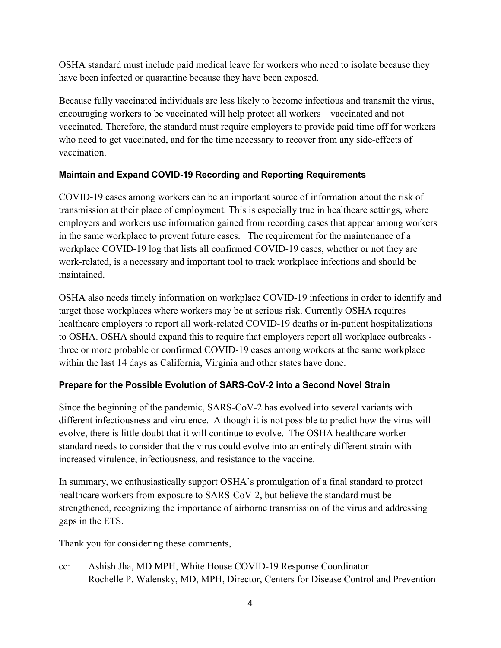OSHA standard must include paid medical leave for workers who need to isolate because they have been infected or quarantine because they have been exposed.

<span id="page-3-1"></span><span id="page-3-0"></span>Because fully vaccinated individuals are less likely to become infectious and transmit the virus, encouraging workers to be vaccinated will help protect all workers – vaccinated and not vaccinated. Therefore, the standard must require employers to provide paid time off for workers who need to get vaccinated, and for the time necessary to recover from any side-effects of vaccination.

# <span id="page-3-2"></span>**Maintain and Expand COVID-19 Recording and Reporting Requirements**

<span id="page-3-4"></span><span id="page-3-3"></span>COVID-19 cases among workers can be an important source of information about the risk of transmission at their place of employment. This is especially true in healthcare settings, where employers and workers use information gained from recording cases that appear among workers in the same workplace to prevent future cases. The requirement for the maintenance of a workplace COVID-19 log that lists all confirmed COVID-19 cases, whether or not they are work-related, is a necessary and important tool to track workplace infections and should be maintained.

<span id="page-3-5"></span>OSHA also needs timely information on workplace COVID-19 infections in order to identify and target those workplaces where workers may be at serious risk. Currently OSHA requires healthcare employers to report all work-related COVID-19 deaths or in-patient hospitalizations to OSHA. OSHA should expand this to require that employers report all workplace outbreaks three or more probable or confirmed COVID-19 cases among workers at the same workplace within the last 14 days as California, Virginia and other states have done.

# **Prepare for the Possible Evolution of SARS-CoV-2 into a Second Novel Strain**

Since the beginning of the pandemic, SARS-CoV-2 has evolved into several variants with different infectiousness and virulence. Although it is not possible to predict how the virus will evolve, there is little doubt that it will continue to evolve. The OSHA healthcare worker standard needs to consider that the virus could evolve into an entirely different strain with increased virulence, infectiousness, and resistance to the vaccine.

In summary, we enthusiastically support OSHA's promulgation of a final standard to protect healthcare workers from exposure to SARS-CoV-2, but believe the standard must be strengthened, recognizing the importance of airborne transmission of the virus and addressing gaps in the ETS.

Thank you for considering these comments,

cc: Ashish Jha, MD MPH, White House COVID-19 Response Coordinator Rochelle P. Walensky, MD, MPH, Director, Centers for Disease Control and Prevention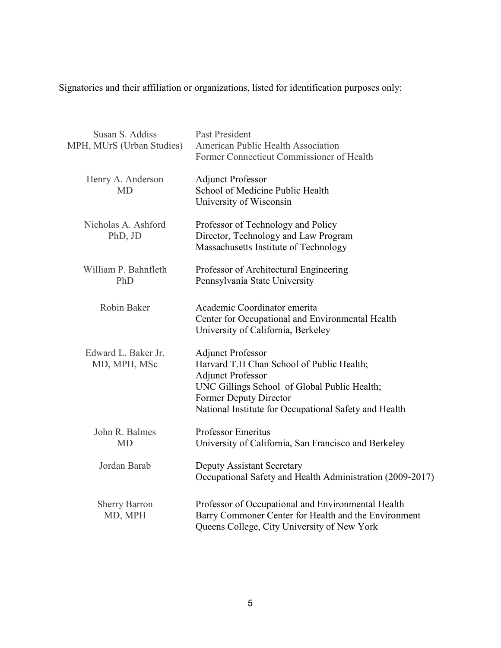<span id="page-4-0"></span>Signatories and their affiliation or organizations, listed for identification purposes only:

<span id="page-4-5"></span><span id="page-4-4"></span><span id="page-4-3"></span><span id="page-4-2"></span><span id="page-4-1"></span>

| Susan S. Addiss<br>MPH, MUrS (Urban Studies) | <b>Past President</b><br>American Public Health Association<br>Former Connecticut Commissioner of Health                                                                                                                             |
|----------------------------------------------|--------------------------------------------------------------------------------------------------------------------------------------------------------------------------------------------------------------------------------------|
| Henry A. Anderson<br><b>MD</b>               | <b>Adjunct Professor</b><br>School of Medicine Public Health<br>University of Wisconsin                                                                                                                                              |
| Nicholas A. Ashford<br>PhD, JD               | Professor of Technology and Policy<br>Director, Technology and Law Program<br>Massachusetts Institute of Technology                                                                                                                  |
| William P. Bahnfleth<br>PhD                  | Professor of Architectural Engineering<br>Pennsylvania State University                                                                                                                                                              |
| Robin Baker                                  | Academic Coordinator emerita<br>Center for Occupational and Environmental Health<br>University of California, Berkeley                                                                                                               |
| Edward L. Baker Jr.<br>MD, MPH, MSc          | <b>Adjunct Professor</b><br>Harvard T.H Chan School of Public Health;<br><b>Adjunct Professor</b><br>UNC Gillings School of Global Public Health;<br>Former Deputy Director<br>National Institute for Occupational Safety and Health |
| John R. Balmes<br><b>MD</b>                  | <b>Professor Emeritus</b><br>University of California, San Francisco and Berkeley                                                                                                                                                    |
| Jordan Barab                                 | Deputy Assistant Secretary<br>Occupational Safety and Health Administration (2009-2017)                                                                                                                                              |
| <b>Sherry Barron</b><br>MD, MPH              | Professor of Occupational and Environmental Health<br>Barry Commoner Center for Health and the Environment<br>Queens College, City University of New York                                                                            |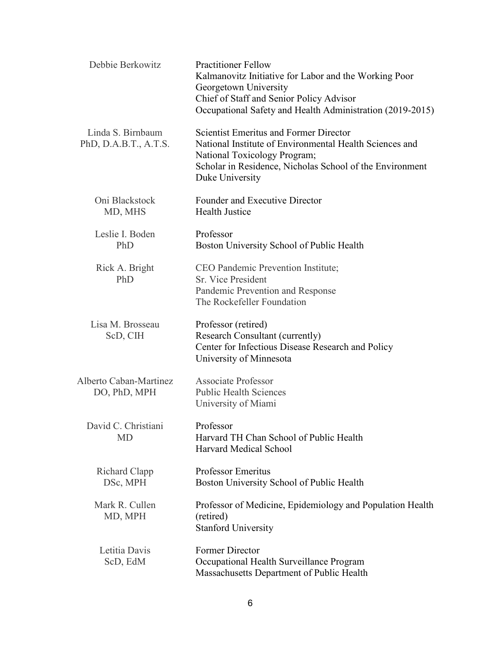| Debbie Berkowitz                           | <b>Practitioner Fellow</b><br>Kalmanovitz Initiative for Labor and the Working Poor<br>Georgetown University<br>Chief of Staff and Senior Policy Advisor<br>Occupational Safety and Health Administration (2019-2015)   |
|--------------------------------------------|-------------------------------------------------------------------------------------------------------------------------------------------------------------------------------------------------------------------------|
| Linda S. Birnbaum<br>PhD, D.A.B.T., A.T.S. | <b>Scientist Emeritus and Former Director</b><br>National Institute of Environmental Health Sciences and<br>National Toxicology Program;<br>Scholar in Residence, Nicholas School of the Environment<br>Duke University |
| Oni Blackstock<br>MD, MHS                  | Founder and Executive Director<br><b>Health Justice</b>                                                                                                                                                                 |
| Leslie I. Boden<br>PhD                     | Professor<br>Boston University School of Public Health                                                                                                                                                                  |
| Rick A. Bright<br>PhD                      | CEO Pandemic Prevention Institute;<br><b>Sr. Vice President</b><br>Pandemic Prevention and Response<br>The Rockefeller Foundation                                                                                       |
| Lisa M. Brosseau<br>ScD, CIH               | Professor (retired)<br>Research Consultant (currently)<br>Center for Infectious Disease Research and Policy<br>University of Minnesota                                                                                  |
| Alberto Caban-Martinez<br>DO, PhD, MPH     | <b>Associate Professor</b><br><b>Public Health Sciences</b><br>University of Miami                                                                                                                                      |
| David C. Christiani<br>MD                  | Professor<br>Harvard TH Chan School of Public Health<br>Harvard Medical School                                                                                                                                          |
| Richard Clapp<br>DSc, MPH                  | <b>Professor Emeritus</b><br>Boston University School of Public Health                                                                                                                                                  |
| Mark R. Cullen<br>MD, MPH                  | Professor of Medicine, Epidemiology and Population Health<br>(retired)<br><b>Stanford University</b>                                                                                                                    |
| Letitia Davis<br>ScD, EdM                  | Former Director<br>Occupational Health Surveillance Program<br>Massachusetts Department of Public Health                                                                                                                |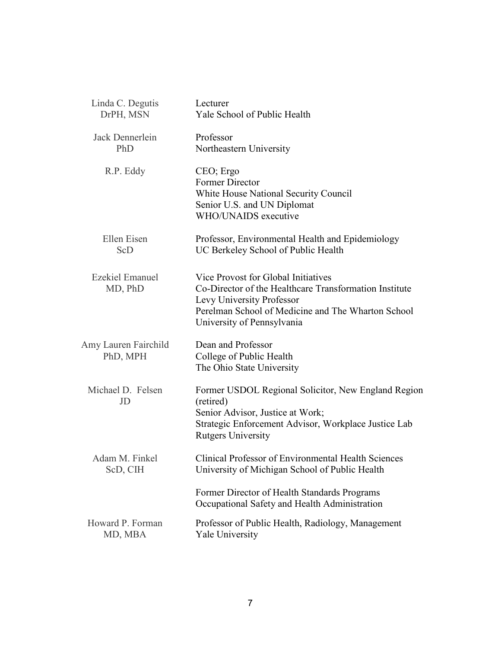| Linda C. Degutis                  | Lecturer                                                                                                                                                                                                       |
|-----------------------------------|----------------------------------------------------------------------------------------------------------------------------------------------------------------------------------------------------------------|
| DrPH, MSN                         | Yale School of Public Health                                                                                                                                                                                   |
| Jack Dennerlein                   | Professor                                                                                                                                                                                                      |
| PhD                               | Northeastern University                                                                                                                                                                                        |
| R.P. Eddy                         | CEO; Ergo<br>Former Director<br>White House National Security Council<br>Senior U.S. and UN Diplomat<br>WHO/UNAIDS executive                                                                                   |
| Ellen Eisen                       | Professor, Environmental Health and Epidemiology                                                                                                                                                               |
| ScD                               | UC Berkeley School of Public Health                                                                                                                                                                            |
| <b>Ezekiel Emanuel</b><br>MD, PhD | Vice Provost for Global Initiatives<br>Co-Director of the Healthcare Transformation Institute<br>Levy University Professor<br>Perelman School of Medicine and The Wharton School<br>University of Pennsylvania |
| Amy Lauren Fairchild<br>PhD, MPH  | Dean and Professor<br>College of Public Health<br>The Ohio State University                                                                                                                                    |
| Michael D. Felsen<br>JD           | Former USDOL Regional Solicitor, New England Region<br>(retired)<br>Senior Advisor, Justice at Work;<br>Strategic Enforcement Advisor, Workplace Justice Lab<br><b>Rutgers University</b>                      |
| Adam M. Finkel                    | <b>Clinical Professor of Environmental Health Sciences</b>                                                                                                                                                     |
| ScD, CIH                          | University of Michigan School of Public Health                                                                                                                                                                 |
|                                   | Former Director of Health Standards Programs<br>Occupational Safety and Health Administration                                                                                                                  |
| Howard P. Forman                  | Professor of Public Health, Radiology, Management                                                                                                                                                              |
| MD, MBA                           | <b>Yale University</b>                                                                                                                                                                                         |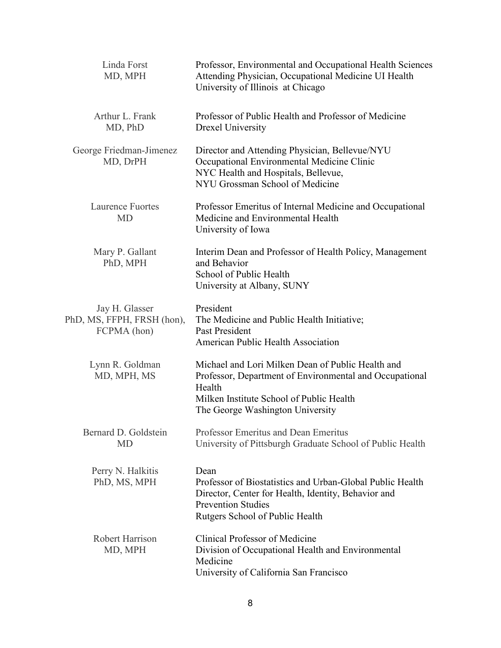| Linda Forst<br>MD, MPH                                      | Professor, Environmental and Occupational Health Sciences<br>Attending Physician, Occupational Medicine UI Health<br>University of Illinois at Chicago                                                 |
|-------------------------------------------------------------|--------------------------------------------------------------------------------------------------------------------------------------------------------------------------------------------------------|
| Arthur L. Frank<br>MD, PhD                                  | Professor of Public Health and Professor of Medicine<br>Drexel University                                                                                                                              |
| George Friedman-Jimenez<br>MD, DrPH                         | Director and Attending Physician, Bellevue/NYU<br>Occupational Environmental Medicine Clinic<br>NYC Health and Hospitals, Bellevue,<br>NYU Grossman School of Medicine                                 |
| <b>Laurence Fuortes</b><br><b>MD</b>                        | Professor Emeritus of Internal Medicine and Occupational<br>Medicine and Environmental Health<br>University of Iowa                                                                                    |
| Mary P. Gallant<br>PhD, MPH                                 | Interim Dean and Professor of Health Policy, Management<br>and Behavior<br>School of Public Health<br>University at Albany, SUNY                                                                       |
| Jay H. Glasser<br>PhD, MS, FFPH, FRSH (hon),<br>FCPMA (hon) | President<br>The Medicine and Public Health Initiative;<br>Past President<br>American Public Health Association                                                                                        |
| Lynn R. Goldman<br>MD, MPH, MS                              | Michael and Lori Milken Dean of Public Health and<br>Professor, Department of Environmental and Occupational<br>Health<br>Milken Institute School of Public Health<br>The George Washington University |
| Bernard D. Goldstein<br><b>MD</b>                           | Professor Emeritus and Dean Emeritus<br>University of Pittsburgh Graduate School of Public Health                                                                                                      |
| Perry N. Halkitis<br>PhD, MS, MPH                           | Dean<br>Professor of Biostatistics and Urban-Global Public Health<br>Director, Center for Health, Identity, Behavior and<br><b>Prevention Studies</b><br>Rutgers School of Public Health               |
| <b>Robert Harrison</b><br>MD, MPH                           | Clinical Professor of Medicine<br>Division of Occupational Health and Environmental<br>Medicine<br>University of California San Francisco                                                              |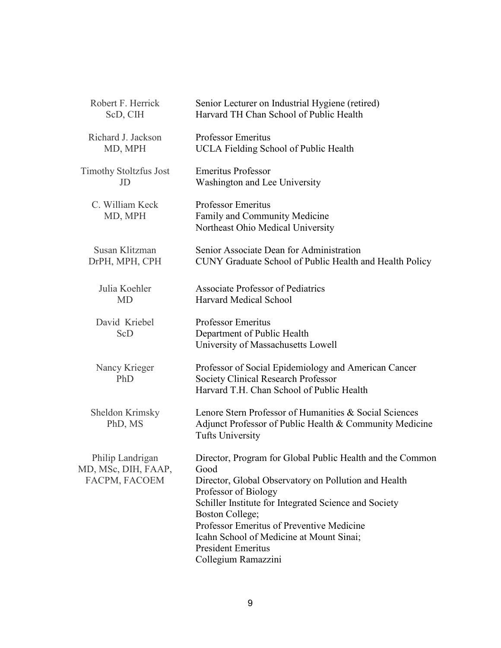| Robert F. Herrick                                        | Senior Lecturer on Industrial Hygiene (retired)                                                                                                                                                                                                                                                                                                                            |
|----------------------------------------------------------|----------------------------------------------------------------------------------------------------------------------------------------------------------------------------------------------------------------------------------------------------------------------------------------------------------------------------------------------------------------------------|
| ScD, CIH                                                 | Harvard TH Chan School of Public Health                                                                                                                                                                                                                                                                                                                                    |
| Richard J. Jackson                                       | <b>Professor Emeritus</b>                                                                                                                                                                                                                                                                                                                                                  |
| MD, MPH                                                  | <b>UCLA Fielding School of Public Health</b>                                                                                                                                                                                                                                                                                                                               |
| <b>Timothy Stoltzfus Jost</b>                            | <b>Emeritus Professor</b>                                                                                                                                                                                                                                                                                                                                                  |
| JD                                                       | Washington and Lee University                                                                                                                                                                                                                                                                                                                                              |
| C. William Keck<br>MD, MPH                               | <b>Professor Emeritus</b><br>Family and Community Medicine<br>Northeast Ohio Medical University                                                                                                                                                                                                                                                                            |
| Susan Klitzman                                           | Senior Associate Dean for Administration                                                                                                                                                                                                                                                                                                                                   |
| DrPH, MPH, CPH                                           | CUNY Graduate School of Public Health and Health Policy                                                                                                                                                                                                                                                                                                                    |
| Julia Koehler                                            | Associate Professor of Pediatrics                                                                                                                                                                                                                                                                                                                                          |
| <b>MD</b>                                                | Harvard Medical School                                                                                                                                                                                                                                                                                                                                                     |
| David Kriebel<br>ScD                                     | <b>Professor Emeritus</b><br>Department of Public Health<br>University of Massachusetts Lowell                                                                                                                                                                                                                                                                             |
| Nancy Krieger<br>PhD                                     | Professor of Social Epidemiology and American Cancer<br><b>Society Clinical Research Professor</b><br>Harvard T.H. Chan School of Public Health                                                                                                                                                                                                                            |
| Sheldon Krimsky<br>PhD, MS                               | Lenore Stern Professor of Humanities & Social Sciences<br>Adjunct Professor of Public Health & Community Medicine<br><b>Tufts University</b>                                                                                                                                                                                                                               |
| Philip Landrigan<br>MD, MSc, DIH, FAAP,<br>FACPM, FACOEM | Director, Program for Global Public Health and the Common<br>Good<br>Director, Global Observatory on Pollution and Health<br>Professor of Biology<br>Schiller Institute for Integrated Science and Society<br>Boston College;<br>Professor Emeritus of Preventive Medicine<br>Icahn School of Medicine at Mount Sinai;<br><b>President Emeritus</b><br>Collegium Ramazzini |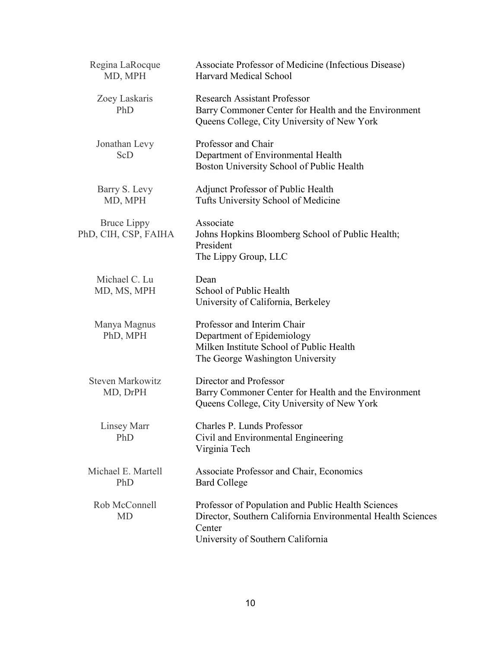| Regina LaRocque<br>MD, MPH                 | Associate Professor of Medicine (Infectious Disease)<br>Harvard Medical School                                                                                   |
|--------------------------------------------|------------------------------------------------------------------------------------------------------------------------------------------------------------------|
| Zoey Laskaris<br>PhD                       | <b>Research Assistant Professor</b><br>Barry Commoner Center for Health and the Environment<br>Queens College, City University of New York                       |
| Jonathan Levy<br>ScD                       | Professor and Chair<br>Department of Environmental Health<br>Boston University School of Public Health                                                           |
| Barry S. Levy<br>MD, MPH                   | Adjunct Professor of Public Health<br>Tufts University School of Medicine                                                                                        |
| <b>Bruce Lippy</b><br>PhD, CIH, CSP, FAIHA | Associate<br>Johns Hopkins Bloomberg School of Public Health;<br>President<br>The Lippy Group, LLC                                                               |
| Michael C. Lu<br>MD, MS, MPH               | Dean<br>School of Public Health<br>University of California, Berkeley                                                                                            |
| Manya Magnus<br>PhD, MPH                   | Professor and Interim Chair<br>Department of Epidemiology<br>Milken Institute School of Public Health<br>The George Washington University                        |
| <b>Steven Markowitz</b><br>MD, DrPH        | Director and Professor<br>Barry Commoner Center for Health and the Environment<br>Queens College, City University of New York                                    |
| Linsey Marr<br>PhD                         | Charles P. Lunds Professor<br>Civil and Environmental Engineering<br>Virginia Tech                                                                               |
| Michael E. Martell<br>PhD                  | Associate Professor and Chair, Economics<br><b>Bard College</b>                                                                                                  |
| Rob McConnell<br><b>MD</b>                 | Professor of Population and Public Health Sciences<br>Director, Southern California Environmental Health Sciences<br>Center<br>University of Southern California |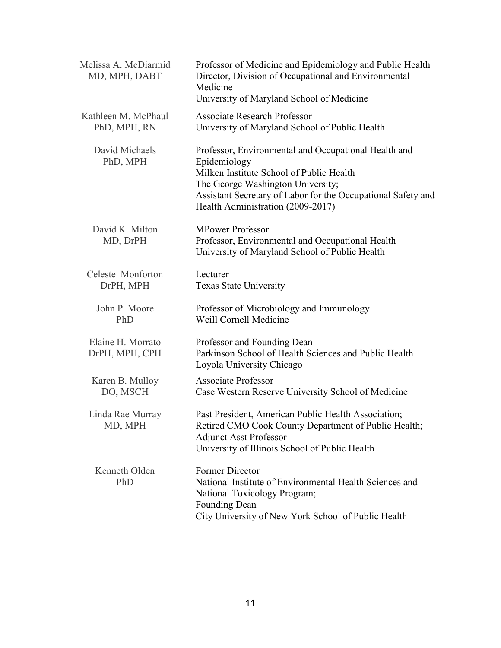| Melissa A. McDiarmid<br>MD, MPH, DABT | Professor of Medicine and Epidemiology and Public Health<br>Director, Division of Occupational and Environmental<br>Medicine<br>University of Maryland School of Medicine                                                                                  |
|---------------------------------------|------------------------------------------------------------------------------------------------------------------------------------------------------------------------------------------------------------------------------------------------------------|
| Kathleen M. McPhaul<br>PhD, MPH, RN   | <b>Associate Research Professor</b><br>University of Maryland School of Public Health                                                                                                                                                                      |
| David Michaels<br>PhD, MPH            | Professor, Environmental and Occupational Health and<br>Epidemiology<br>Milken Institute School of Public Health<br>The George Washington University;<br>Assistant Secretary of Labor for the Occupational Safety and<br>Health Administration (2009-2017) |
| David K. Milton<br>MD, DrPH           | <b>MPower Professor</b><br>Professor, Environmental and Occupational Health<br>University of Maryland School of Public Health                                                                                                                              |
| Celeste Monforton<br>DrPH, MPH        | Lecturer<br><b>Texas State University</b>                                                                                                                                                                                                                  |
| John P. Moore<br>PhD                  | Professor of Microbiology and Immunology<br>Weill Cornell Medicine                                                                                                                                                                                         |
| Elaine H. Morrato<br>DrPH, MPH, CPH   | Professor and Founding Dean<br>Parkinson School of Health Sciences and Public Health<br>Loyola University Chicago                                                                                                                                          |
| Karen B. Mulloy<br>DO, MSCH           | <b>Associate Professor</b><br>Case Western Reserve University School of Medicine                                                                                                                                                                           |
| Linda Rae Murray<br>MD, MPH           | Past President, American Public Health Association;<br>Retired CMO Cook County Department of Public Health;<br><b>Adjunct Asst Professor</b><br>University of Illinois School of Public Health                                                             |
| Kenneth Olden<br>PhD                  | <b>Former Director</b><br>National Institute of Environmental Health Sciences and<br>National Toxicology Program;<br>Founding Dean<br>City University of New York School of Public Health                                                                  |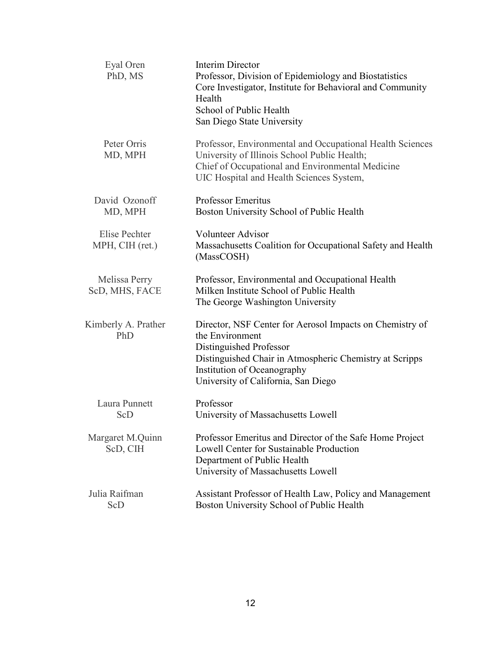| Eyal Oren<br>PhD, MS             | <b>Interim Director</b><br>Professor, Division of Epidemiology and Biostatistics<br>Core Investigator, Institute for Behavioral and Community<br>Health<br>School of Public Health<br>San Diego State University                        |
|----------------------------------|-----------------------------------------------------------------------------------------------------------------------------------------------------------------------------------------------------------------------------------------|
| Peter Orris<br>MD, MPH           | Professor, Environmental and Occupational Health Sciences<br>University of Illinois School Public Health;<br>Chief of Occupational and Environmental Medicine<br>UIC Hospital and Health Sciences System,                               |
| David Ozonoff<br>MD, MPH         | <b>Professor Emeritus</b><br>Boston University School of Public Health                                                                                                                                                                  |
| Elise Pechter<br>MPH, CIH (ret.) | <b>Volunteer Advisor</b><br>Massachusetts Coalition for Occupational Safety and Health<br>(MassCOSH)                                                                                                                                    |
| Melissa Perry<br>ScD, MHS, FACE  | Professor, Environmental and Occupational Health<br>Milken Institute School of Public Health<br>The George Washington University                                                                                                        |
| Kimberly A. Prather<br>PhD       | Director, NSF Center for Aerosol Impacts on Chemistry of<br>the Environment<br>Distinguished Professor<br>Distinguished Chair in Atmospheric Chemistry at Scripps<br>Institution of Oceanography<br>University of California, San Diego |
| Laura Punnett<br>ScD             | Professor<br>University of Massachusetts Lowell                                                                                                                                                                                         |
| Margaret M.Quinn<br>ScD, CIH     | Professor Emeritus and Director of the Safe Home Project<br>Lowell Center for Sustainable Production<br>Department of Public Health<br>University of Massachusetts Lowell                                                               |
| Julia Raifman<br>ScD             | Assistant Professor of Health Law, Policy and Management<br>Boston University School of Public Health                                                                                                                                   |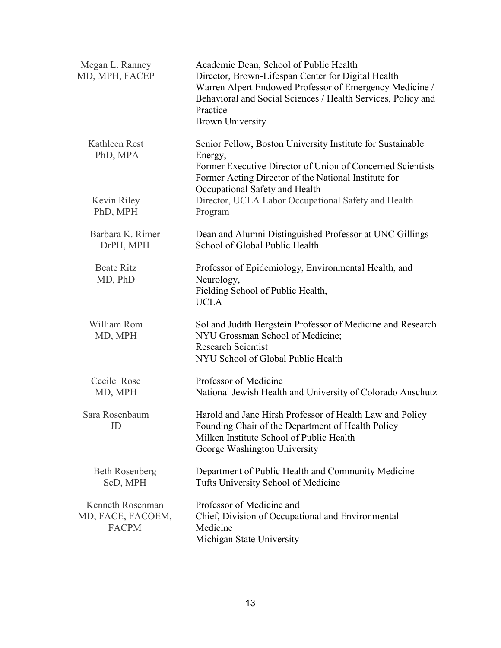| Megan L. Ranney<br>MD, MPH, FACEP                     | Academic Dean, School of Public Health<br>Director, Brown-Lifespan Center for Digital Health<br>Warren Alpert Endowed Professor of Emergency Medicine /<br>Behavioral and Social Sciences / Health Services, Policy and<br>Practice<br><b>Brown University</b> |
|-------------------------------------------------------|----------------------------------------------------------------------------------------------------------------------------------------------------------------------------------------------------------------------------------------------------------------|
| Kathleen Rest<br>PhD, MPA                             | Senior Fellow, Boston University Institute for Sustainable<br>Energy,<br>Former Executive Director of Union of Concerned Scientists<br>Former Acting Director of the National Institute for                                                                    |
| Kevin Riley<br>PhD, MPH                               | Occupational Safety and Health<br>Director, UCLA Labor Occupational Safety and Health<br>Program                                                                                                                                                               |
| Barbara K. Rimer<br>DrPH, MPH                         | Dean and Alumni Distinguished Professor at UNC Gillings<br>School of Global Public Health                                                                                                                                                                      |
| <b>Beate Ritz</b><br>MD, PhD                          | Professor of Epidemiology, Environmental Health, and<br>Neurology,<br>Fielding School of Public Health,<br><b>UCLA</b>                                                                                                                                         |
| William Rom<br>MD, MPH                                | Sol and Judith Bergstein Professor of Medicine and Research<br>NYU Grossman School of Medicine;<br><b>Research Scientist</b><br>NYU School of Global Public Health                                                                                             |
| Cecile Rose<br>MD, MPH                                | Professor of Medicine<br>National Jewish Health and University of Colorado Anschutz                                                                                                                                                                            |
| Sara Rosenbaum<br>JD                                  | Harold and Jane Hirsh Professor of Health Law and Policy<br>Founding Chair of the Department of Health Policy<br>Milken Institute School of Public Health<br>George Washington University                                                                      |
| <b>Beth Rosenberg</b><br>ScD, MPH                     | Department of Public Health and Community Medicine<br>Tufts University School of Medicine                                                                                                                                                                      |
| Kenneth Rosenman<br>MD, FACE, FACOEM,<br><b>FACPM</b> | Professor of Medicine and<br>Chief, Division of Occupational and Environmental<br>Medicine<br>Michigan State University                                                                                                                                        |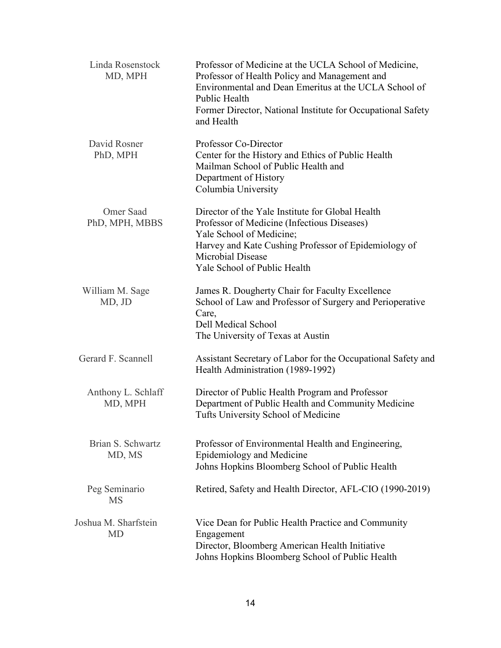| Linda Rosenstock<br>MD, MPH       | Professor of Medicine at the UCLA School of Medicine,<br>Professor of Health Policy and Management and<br>Environmental and Dean Emeritus at the UCLA School of<br>Public Health<br>Former Director, National Institute for Occupational Safety<br>and Health |
|-----------------------------------|---------------------------------------------------------------------------------------------------------------------------------------------------------------------------------------------------------------------------------------------------------------|
| David Rosner<br>PhD, MPH          | Professor Co-Director<br>Center for the History and Ethics of Public Health<br>Mailman School of Public Health and<br>Department of History<br>Columbia University                                                                                            |
| Omer Saad<br>PhD, MPH, MBBS       | Director of the Yale Institute for Global Health<br>Professor of Medicine (Infectious Diseases)<br>Yale School of Medicine;<br>Harvey and Kate Cushing Professor of Epidemiology of<br>Microbial Disease<br>Yale School of Public Health                      |
| William M. Sage<br>MD, JD         | James R. Dougherty Chair for Faculty Excellence<br>School of Law and Professor of Surgery and Perioperative<br>Care,<br><b>Dell Medical School</b><br>The University of Texas at Austin                                                                       |
| Gerard F. Scannell                | Assistant Secretary of Labor for the Occupational Safety and<br>Health Administration (1989-1992)                                                                                                                                                             |
| Anthony L. Schlaff<br>MD, MPH     | Director of Public Health Program and Professor<br>Department of Public Health and Community Medicine<br>Tufts University School of Medicine                                                                                                                  |
| Brian S. Schwartz<br>MD, MS       | Professor of Environmental Health and Engineering,<br>Epidemiology and Medicine<br>Johns Hopkins Bloomberg School of Public Health                                                                                                                            |
| Peg Seminario<br><b>MS</b>        | Retired, Safety and Health Director, AFL-CIO (1990-2019)                                                                                                                                                                                                      |
| Joshua M. Sharfstein<br><b>MD</b> | Vice Dean for Public Health Practice and Community<br>Engagement<br>Director, Bloomberg American Health Initiative<br>Johns Hopkins Bloomberg School of Public Health                                                                                         |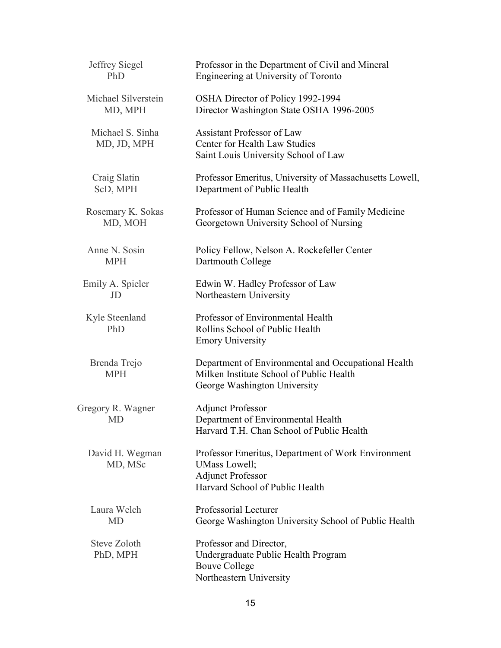| Jeffrey Siegel                  | Professor in the Department of Civil and Mineral                                                                                   |
|---------------------------------|------------------------------------------------------------------------------------------------------------------------------------|
| PhD                             | Engineering at University of Toronto                                                                                               |
| Michael Silverstein             | OSHA Director of Policy 1992-1994                                                                                                  |
| MD, MPH                         | Director Washington State OSHA 1996-2005                                                                                           |
| Michael S. Sinha<br>MD, JD, MPH | <b>Assistant Professor of Law</b><br>Center for Health Law Studies<br>Saint Louis University School of Law                         |
| Craig Slatin                    | Professor Emeritus, University of Massachusetts Lowell,                                                                            |
| ScD, MPH                        | Department of Public Health                                                                                                        |
| Rosemary K. Sokas               | Professor of Human Science and of Family Medicine                                                                                  |
| MD, MOH                         | Georgetown University School of Nursing                                                                                            |
| Anne N. Sosin                   | Policy Fellow, Nelson A. Rockefeller Center                                                                                        |
| <b>MPH</b>                      | Dartmouth College                                                                                                                  |
| Emily A. Spieler                | Edwin W. Hadley Professor of Law                                                                                                   |
| JD                              | Northeastern University                                                                                                            |
| Kyle Steenland<br>PhD           | Professor of Environmental Health<br>Rollins School of Public Health<br><b>Emory University</b>                                    |
| Brenda Trejo<br><b>MPH</b>      | Department of Environmental and Occupational Health<br>Milken Institute School of Public Health<br>George Washington University    |
| Gregory R. Wagner<br><b>MD</b>  | <b>Adjunct Professor</b><br>Department of Environmental Health<br>Harvard T.H. Chan School of Public Health                        |
| David H. Wegman<br>MD, MSc      | Professor Emeritus, Department of Work Environment<br>UMass Lowell;<br><b>Adjunct Professor</b><br>Harvard School of Public Health |
| Laura Welch                     | Professorial Lecturer                                                                                                              |
| <b>MD</b>                       | George Washington University School of Public Health                                                                               |
| Steve Zoloth<br>PhD, MPH        | Professor and Director,<br>Undergraduate Public Health Program<br><b>Bouve College</b><br>Northeastern University                  |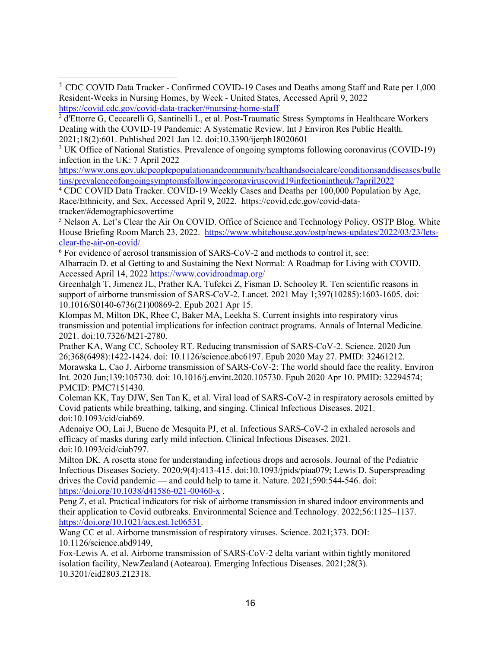$\ddot{\phantom{a}}$ 

[https://www.ons.gov.uk/peoplepopulationandcommunity/healthandsocialcare/conditionsanddiseases/bulle](https://www.ons.gov.uk/peoplepopulationandcommunity/healthandsocialcare/conditionsanddiseases/bulletins/prevalenceofongoingsymptomsfollowingcoronaviruscovid19infectionintheuk/7april2022) [tins/prevalenceofongoingsymptomsfollowingcoronaviruscovid19infectionintheuk/7april2022](https://www.ons.gov.uk/peoplepopulationandcommunity/healthandsocialcare/conditionsanddiseases/bulletins/prevalenceofongoingsymptomsfollowingcoronaviruscovid19infectionintheuk/7april2022)

<sup>4</sup> CDC COVID Data Tracker. COVID-19 Weekly Cases and Deaths per 100,000 Population by Age, Race/Ethnicity, and Sex, Accessed April 9, 2022. https://covid.cdc.gov/covid-datatracker/#demographicsovertime

<sup>5</sup> Nelson A. Let's Clear the Air On COVID. Office of Science and Technology Policy. OSTP Blog. White House Briefing Room March 23, 2022. [https://www.whitehouse.gov/ostp/news](https://www.whitehouse.gov/ostp/news-updates/2022/03/23/lets-clear-the-air-on-covid/)-updates/2022/03/23/lets[clear-the-air-on-](https://www.whitehouse.gov/ostp/news-updates/2022/03/23/lets-clear-the-air-on-covid/)covid/

<sup>6</sup> For evidence of aerosol transmission of SARS-CoV-2 and methods to control it, see: Albarracín D. et al Getting to and Sustaining the Next Normal: A Roadmap for Living with COVID. Accessed April 14, 2022<https://www.covidroadmap.org/>

Greenhalgh T, Jimenez JL, Prather KA, Tufekci Z, Fisman D, Schooley R. Ten scientific reasons in support of airborne transmission of SARS-CoV-2. Lancet. 2021 May 1;397(10285):1603-1605. doi: 10.1016/S0140-6736(21)00869-2. Epub 2021 Apr 15.

Klompas M, Milton DK, Rhee C, Baker MA, Leekha S. Current insights into respiratory virus transmission and potential implications for infection contract programs. Annals of Internal Medicine. 2021. doi:10.7326/M21-2780.

Prather KA, Wang CC, Schooley RT. Reducing transmission of SARS-CoV-2. Science. 2020 Jun 26;368(6498):1422-1424. doi: 10.1126/science.abc6197. Epub 2020 May 27. PMID: 32461212. Morawska L, Cao J. Airborne transmission of SARS-CoV-2: The world should face the reality. Environ Int. 2020 Jun;139:105730. doi: 10.1016/j.envint.2020.105730. Epub 2020 Apr 10. PMID: 32294574; PMCID: PMC7151430.

Coleman KK, Tay DJW, Sen Tan K, et al. Viral load of SARS-CoV-2 in respiratory aerosols emitted by Covid patients while breathing, talking, and singing. Clinical Infectious Diseases. 2021. doi:10.1093/cid/ciab69.

Adenaiye OO, Lai J, Bueno de Mesquita PJ, et al. Infectious SARS-CoV-2 in exhaled aerosols and efficacy of masks during early mild infection. Clinical Infectious Diseases. 2021. doi:10.1093/cid/ciab797.

Milton DK. A rosetta stone for understanding infectious drops and aerosols. Journal of the Pediatric Infectious Diseases Society. 2020;9(4):413-415. doi:10.1093/jpids/piaa079; Lewis D. Superspreading drives the Covid pandemic — and could help to tame it. Nature. 2021;590:544-546. doi: [https://doi.org/10.1038/d41586](https://doi.org/10.1038/d41586-021-00460-x)-021-00460-x .

Peng Z, et al. Practical indicators for risk of airborne transmission in shared indoor environments and their application to Covid outbreaks. Environmental Science and Technology. 2022;56:1125–1137. <https://doi.org/10.1021/acs.est.1c06531>.

Wang CC et al. Airborne transmission of respiratory viruses. Science. 2021;373. DOI: 10.1126/science.abd9149,

Fox-Lewis A. et al. Airborne transmission of SARS-CoV-2 delta variant within tightly monitored isolation facility, NewZealand (Aotearoa). Emerging Infectious Diseases. 2021;28(3). 10.3201/eid2803.212318.

<sup>1</sup> CDC COVID Data Tracker - Confirmed COVID-19 Cases and Deaths among Staff and Rate per 1,000 Resident-Weeks in Nursing Homes, by Week - United States, Accessed April 9, 2022 [https://covid.cdc.gov/covid](https://covid.cdc.gov/covid-data-tracker/#nursing-home-staff)-data-tracker/#nursing-home-staff

<sup>2</sup> d'Ettorre G, Ceccarelli G, Santinelli L, et al. Post-Traumatic Stress Symptoms in Healthcare Workers Dealing with the COVID-19 Pandemic: A Systematic Review. Int J Environ Res Public Health. 2021;18(2):601. Published 2021 Jan 12. doi:10.3390/ijerph18020601

<sup>&</sup>lt;sup>3</sup> UK Office of National Statistics. Prevalence of ongoing symptoms following coronavirus (COVID-19) infection in the UK: 7 April 2022